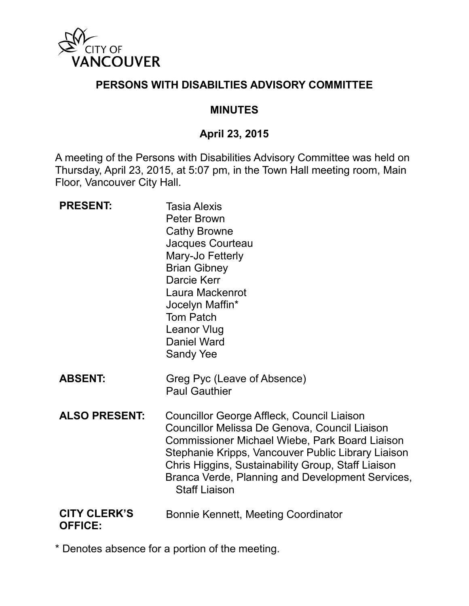

#### **PERSONS WITH DISABILTIES ADVISORY COMMITTEE**

#### **MINUTES**

#### **April 23, 2015**

A meeting of the Persons with Disabilities Advisory Committee was held on Thursday, April 23, 2015, at 5:07 pm, in the Town Hall meeting room, Main Floor, Vancouver City Hall.

| <b>PRESENT:</b>                       | <b>Tasia Alexis</b><br><b>Peter Brown</b><br><b>Cathy Browne</b><br>Jacques Courteau<br>Mary-Jo Fetterly<br><b>Brian Gibney</b><br>Darcie Kerr<br>Laura Mackenrot<br>Jocelyn Maffin*<br><b>Tom Patch</b><br><b>Leanor Vlug</b><br><b>Daniel Ward</b><br>Sandy Yee                                                                     |
|---------------------------------------|---------------------------------------------------------------------------------------------------------------------------------------------------------------------------------------------------------------------------------------------------------------------------------------------------------------------------------------|
| <b>ABSENT:</b>                        | Greg Pyc (Leave of Absence)<br><b>Paul Gauthier</b>                                                                                                                                                                                                                                                                                   |
| <b>ALSO PRESENT:</b>                  | Councillor George Affleck, Council Liaison<br>Councillor Melissa De Genova, Council Liaison<br>Commissioner Michael Wiebe, Park Board Liaison<br>Stephanie Kripps, Vancouver Public Library Liaison<br>Chris Higgins, Sustainability Group, Staff Liaison<br>Branca Verde, Planning and Development Services,<br><b>Staff Liaison</b> |
| <b>CITY CLERK'S</b><br><b>OFFICE:</b> | Bonnie Kennett, Meeting Coordinator                                                                                                                                                                                                                                                                                                   |

\* Denotes absence for a portion of the meeting.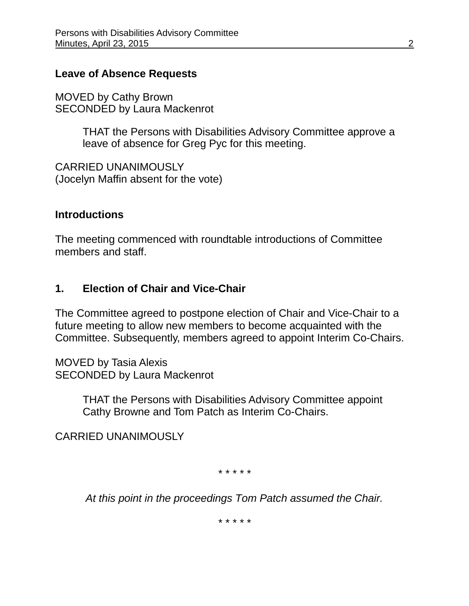#### **Leave of Absence Requests**

MOVED by Cathy Brown SECONDED by Laura Mackenrot

> THAT the Persons with Disabilities Advisory Committee approve a leave of absence for Greg Pyc for this meeting.

CARRIED UNANIMOUSLY (Jocelyn Maffin absent for the vote)

#### **Introductions**

The meeting commenced with roundtable introductions of Committee members and staff.

#### **1. Election of Chair and Vice-Chair**

The Committee agreed to postpone election of Chair and Vice-Chair to a future meeting to allow new members to become acquainted with the Committee. Subsequently, members agreed to appoint Interim Co-Chairs.

MOVED by Tasia Alexis SECONDED by Laura Mackenrot

> THAT the Persons with Disabilities Advisory Committee appoint Cathy Browne and Tom Patch as Interim Co-Chairs.

CARRIED UNANIMOUSLY

*\* \* \* \* \**

*At this point in the proceedings Tom Patch assumed the Chair.*

*\* \* \* \* \**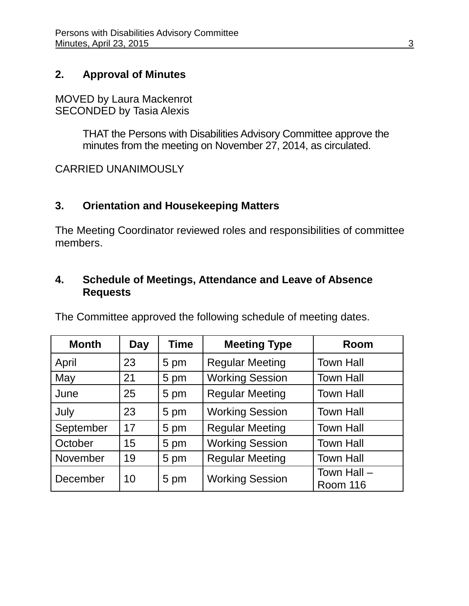#### **2. Approval of Minutes**

MOVED by Laura Mackenrot SECONDED by Tasia Alexis

> THAT the Persons with Disabilities Advisory Committee approve the minutes from the meeting on November 27, 2014, as circulated.

CARRIED UNANIMOUSLY

#### **3. Orientation and Housekeeping Matters**

The Meeting Coordinator reviewed roles and responsibilities of committee members.

#### **4. Schedule of Meetings, Attendance and Leave of Absence Requests**

The Committee approved the following schedule of meeting dates.

| <b>Month</b> | <b>Day</b> | <b>Time</b> | <b>Meeting Type</b>    | Room                    |
|--------------|------------|-------------|------------------------|-------------------------|
| April        | 23         | 5 pm        | <b>Regular Meeting</b> | <b>Town Hall</b>        |
| May          | 21         | 5 pm        | <b>Working Session</b> | <b>Town Hall</b>        |
| June         | 25         | 5 pm        | <b>Regular Meeting</b> | <b>Town Hall</b>        |
| July         | 23         | 5 pm        | <b>Working Session</b> | <b>Town Hall</b>        |
| September    | 17         | 5 pm        | <b>Regular Meeting</b> | <b>Town Hall</b>        |
| October      | 15         | 5 pm        | <b>Working Session</b> | <b>Town Hall</b>        |
| November     | 19         | 5 pm        | <b>Regular Meeting</b> | <b>Town Hall</b>        |
| December     | 10         | 5 pm        | <b>Working Session</b> | Town Hall -<br>Room 116 |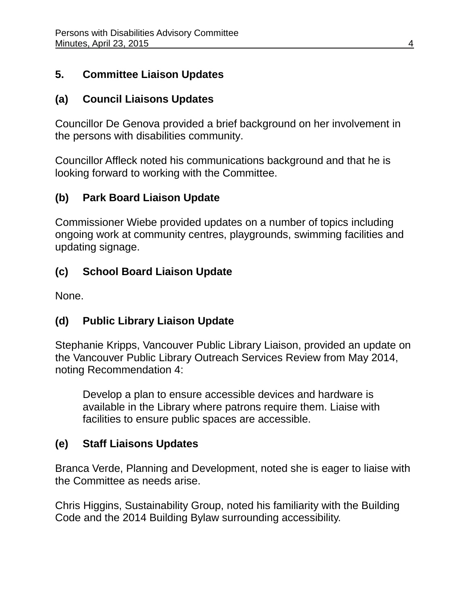## **5. Committee Liaison Updates**

## **(a) Council Liaisons Updates**

Councillor De Genova provided a brief background on her involvement in the persons with disabilities community.

Councillor Affleck noted his communications background and that he is looking forward to working with the Committee.

# **(b) Park Board Liaison Update**

Commissioner Wiebe provided updates on a number of topics including ongoing work at community centres, playgrounds, swimming facilities and updating signage.

# **(c) School Board Liaison Update**

None.

# **(d) Public Library Liaison Update**

Stephanie Kripps, Vancouver Public Library Liaison, provided an update on the Vancouver Public Library Outreach Services Review from May 2014, noting Recommendation 4:

Develop a plan to ensure accessible devices and hardware is available in the Library where patrons require them. Liaise with facilities to ensure public spaces are accessible.

# **(e) Staff Liaisons Updates**

Branca Verde, Planning and Development, noted she is eager to liaise with the Committee as needs arise.

Chris Higgins, Sustainability Group, noted his familiarity with the Building Code and the 2014 Building Bylaw surrounding accessibility.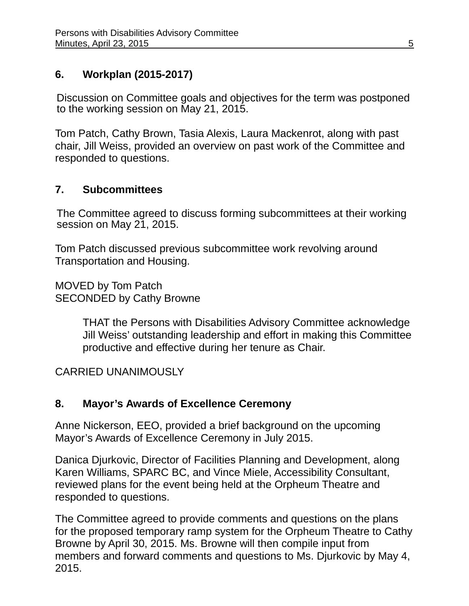# **6. Workplan (2015-2017)**

Discussion on Committee goals and objectives for the term was postponed to the working session on May 21, 2015.

Tom Patch, Cathy Brown, Tasia Alexis, Laura Mackenrot, along with past chair, Jill Weiss, provided an overview on past work of the Committee and responded to questions.

#### **7. Subcommittees**

The Committee agreed to discuss forming subcommittees at their working session on May 21, 2015.

Tom Patch discussed previous subcommittee work revolving around Transportation and Housing.

MOVED by Tom Patch SECONDED by Cathy Browne

> THAT the Persons with Disabilities Advisory Committee acknowledge Jill Weiss' outstanding leadership and effort in making this Committee productive and effective during her tenure as Chair.

CARRIED UNANIMOUSLY

# **8. Mayor's Awards of Excellence Ceremony**

Anne Nickerson, EEO, provided a brief background on the upcoming Mayor's Awards of Excellence Ceremony in July 2015.

Danica Djurkovic, Director of Facilities Planning and Development, along Karen Williams, SPARC BC, and Vince Miele, Accessibility Consultant, reviewed plans for the event being held at the Orpheum Theatre and responded to questions.

The Committee agreed to provide comments and questions on the plans for the proposed temporary ramp system for the Orpheum Theatre to Cathy Browne by April 30, 2015. Ms. Browne will then compile input from members and forward comments and questions to Ms. Djurkovic by May 4, 2015.